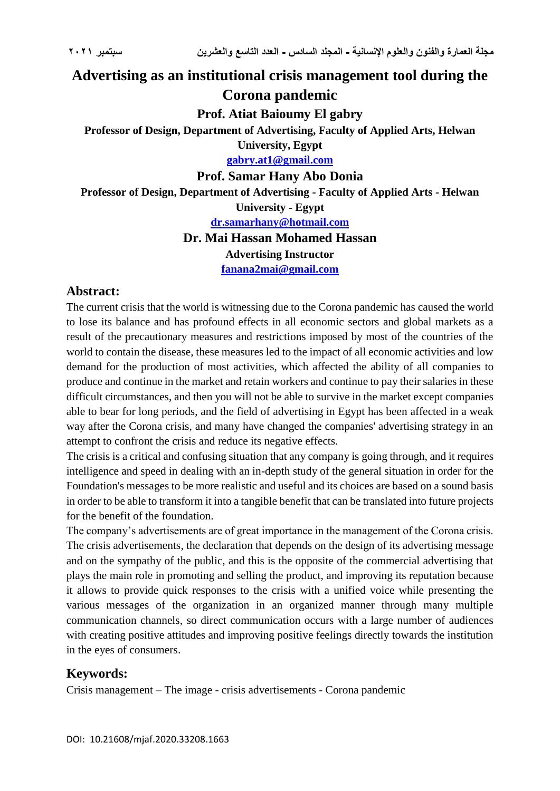# **Advertising as an institutional crisis management tool during the Corona pandemic**

**Prof. Atiat Baioumy El gabry**

**Professor of Design, Department of Advertising, Faculty of Applied Arts, Helwan** 

**University, Egypt [gabry.at1@gmail.com](mailto:gabry.at1@gmail.com)**

**Prof. Samar Hany Abo Donia**

**Professor of Design, Department of Advertising - Faculty of Applied Arts - Helwan** 

**University - Egypt**

**[dr.samarhany@hotmail.com](mailto:dr.samarhany@hotmail.com)**

### **Dr. Mai Hassan Mohamed Hassan**

### **Advertising Instructor**

**[fanana2mai@gmail.com](mailto:fanana2mai@gmail.com)**

### **Abstract:**

The current crisis that the world is witnessing due to the Corona pandemic has caused the world to lose its balance and has profound effects in all economic sectors and global markets as a result of the precautionary measures and restrictions imposed by most of the countries of the world to contain the disease, these measures led to the impact of all economic activities and low demand for the production of most activities, which affected the ability of all companies to produce and continue in the market and retain workers and continue to pay their salaries in these difficult circumstances, and then you will not be able to survive in the market except companies able to bear for long periods, and the field of advertising in Egypt has been affected in a weak way after the Corona crisis, and many have changed the companies' advertising strategy in an attempt to confront the crisis and reduce its negative effects.

The crisis is a critical and confusing situation that any company is going through, and it requires intelligence and speed in dealing with an in-depth study of the general situation in order for the Foundation's messages to be more realistic and useful and its choices are based on a sound basis in order to be able to transform it into a tangible benefit that can be translated into future projects for the benefit of the foundation.

The company's advertisements are of great importance in the management of the Corona crisis. The crisis advertisements, the declaration that depends on the design of its advertising message and on the sympathy of the public, and this is the opposite of the commercial advertising that plays the main role in promoting and selling the product, and improving its reputation because it allows to provide quick responses to the crisis with a unified voice while presenting the various messages of the organization in an organized manner through many multiple communication channels, so direct communication occurs with a large number of audiences with creating positive attitudes and improving positive feelings directly towards the institution in the eyes of consumers.

## **Keywords:**

Crisis management – The image - crisis advertisements - Corona pandemic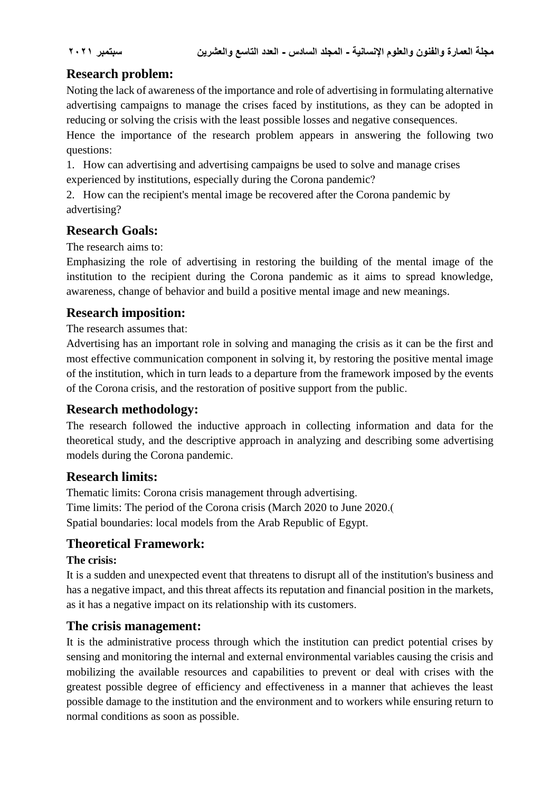## **Research problem:**

Noting the lack of awareness of the importance and role of advertising in formulating alternative advertising campaigns to manage the crises faced by institutions, as they can be adopted in reducing or solving the crisis with the least possible losses and negative consequences.

Hence the importance of the research problem appears in answering the following two questions:

1. How can advertising and advertising campaigns be used to solve and manage crises experienced by institutions, especially during the Corona pandemic?

2. How can the recipient's mental image be recovered after the Corona pandemic by advertising?

### **Research Goals:**

The research aims to:

Emphasizing the role of advertising in restoring the building of the mental image of the institution to the recipient during the Corona pandemic as it aims to spread knowledge, awareness, change of behavior and build a positive mental image and new meanings.

## **Research imposition:**

The research assumes that:

Advertising has an important role in solving and managing the crisis as it can be the first and most effective communication component in solving it, by restoring the positive mental image of the institution, which in turn leads to a departure from the framework imposed by the events of the Corona crisis, and the restoration of positive support from the public.

### **Research methodology:**

The research followed the inductive approach in collecting information and data for the theoretical study, and the descriptive approach in analyzing and describing some advertising models during the Corona pandemic.

### **Research limits:**

Thematic limits: Corona crisis management through advertising. Time limits: The period of the Corona crisis (March 2020 to June 2020.) Spatial boundaries: local models from the Arab Republic of Egypt.

## **Theoretical Framework:**

### **The crisis:**

It is a sudden and unexpected event that threatens to disrupt all of the institution's business and has a negative impact, and this threat affects its reputation and financial position in the markets, as it has a negative impact on its relationship with its customers.

### **The crisis management:**

It is the administrative process through which the institution can predict potential crises by sensing and monitoring the internal and external environmental variables causing the crisis and mobilizing the available resources and capabilities to prevent or deal with crises with the greatest possible degree of efficiency and effectiveness in a manner that achieves the least possible damage to the institution and the environment and to workers while ensuring return to normal conditions as soon as possible.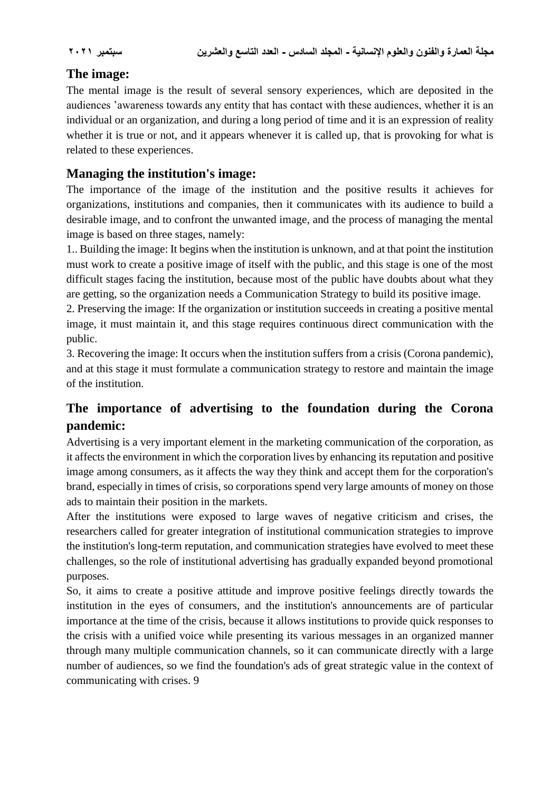## **The image:**

The mental image is the result of several sensory experiences, which are deposited in the audiences 'awareness towards any entity that has contact with these audiences, whether it is an individual or an organization, and during a long period of time and it is an expression of reality whether it is true or not, and it appears whenever it is called up, that is provoking for what is related to these experiences.

## **Managing the institution's image:**

The importance of the image of the institution and the positive results it achieves for organizations, institutions and companies, then it communicates with its audience to build a desirable image, and to confront the unwanted image, and the process of managing the mental image is based on three stages, namely:

1.. Building the image: It begins when the institution is unknown, and at that point the institution must work to create a positive image of itself with the public, and this stage is one of the most difficult stages facing the institution, because most of the public have doubts about what they are getting, so the organization needs a Communication Strategy to build its positive image.

2. Preserving the image: If the organization or institution succeeds in creating a positive mental image, it must maintain it, and this stage requires continuous direct communication with the public.

3. Recovering the image: It occurs when the institution suffers from a crisis (Corona pandemic), and at this stage it must formulate a communication strategy to restore and maintain the image of the institution.

## **The importance of advertising to the foundation during the Corona pandemic:**

Advertising is a very important element in the marketing communication of the corporation, as it affects the environment in which the corporation lives by enhancing its reputation and positive image among consumers, as it affects the way they think and accept them for the corporation's brand, especially in times of crisis, so corporations spend very large amounts of money on those ads to maintain their position in the markets.

After the institutions were exposed to large waves of negative criticism and crises, the researchers called for greater integration of institutional communication strategies to improve the institution's long-term reputation, and communication strategies have evolved to meet these challenges, so the role of institutional advertising has gradually expanded beyond promotional purposes.

So, it aims to create a positive attitude and improve positive feelings directly towards the institution in the eyes of consumers, and the institution's announcements are of particular importance at the time of the crisis, because it allows institutions to provide quick responses to the crisis with a unified voice while presenting its various messages in an organized manner through many multiple communication channels, so it can communicate directly with a large number of audiences, so we find the foundation's ads of great strategic value in the context of communicating with crises. 9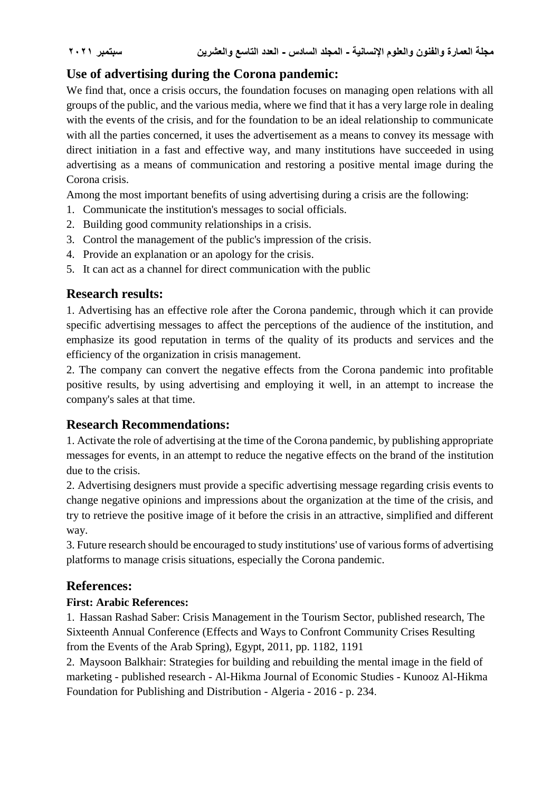## **Use of advertising during the Corona pandemic:**

We find that, once a crisis occurs, the foundation focuses on managing open relations with all groups of the public, and the various media, where we find that it has a very large role in dealing with the events of the crisis, and for the foundation to be an ideal relationship to communicate with all the parties concerned, it uses the advertisement as a means to convey its message with direct initiation in a fast and effective way, and many institutions have succeeded in using advertising as a means of communication and restoring a positive mental image during the Corona crisis.

Among the most important benefits of using advertising during a crisis are the following:

- 1. Communicate the institution's messages to social officials.
- 2. Building good community relationships in a crisis.
- 3. Control the management of the public's impression of the crisis.
- 4. Provide an explanation or an apology for the crisis.
- 5. It can act as a channel for direct communication with the public

## **Research results:**

1. Advertising has an effective role after the Corona pandemic, through which it can provide specific advertising messages to affect the perceptions of the audience of the institution, and emphasize its good reputation in terms of the quality of its products and services and the efficiency of the organization in crisis management.

2. The company can convert the negative effects from the Corona pandemic into profitable positive results, by using advertising and employing it well, in an attempt to increase the company's sales at that time.

## **Research Recommendations:**

1. Activate the role of advertising at the time of the Corona pandemic, by publishing appropriate messages for events, in an attempt to reduce the negative effects on the brand of the institution due to the crisis.

2. Advertising designers must provide a specific advertising message regarding crisis events to change negative opinions and impressions about the organization at the time of the crisis, and try to retrieve the positive image of it before the crisis in an attractive, simplified and different way.

3. Future research should be encouraged to study institutions' use of various forms of advertising platforms to manage crisis situations, especially the Corona pandemic.

## **References:**

### **First: Arabic References:**

1. Hassan Rashad Saber: Crisis Management in the Tourism Sector, published research, The Sixteenth Annual Conference (Effects and Ways to Confront Community Crises Resulting from the Events of the Arab Spring), Egypt, 2011, pp. 1182, 1191

2. Maysoon Balkhair: Strategies for building and rebuilding the mental image in the field of marketing - published research - Al-Hikma Journal of Economic Studies - Kunooz Al-Hikma Foundation for Publishing and Distribution - Algeria - 2016 - p. 234.